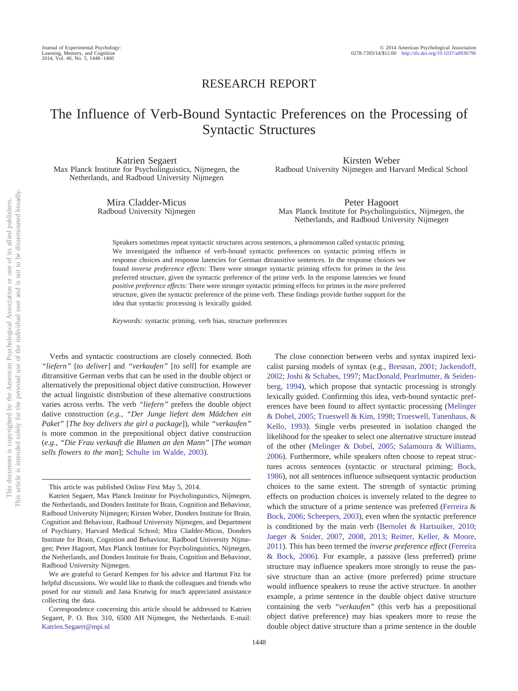## RESEARCH REPORT

# The Influence of Verb-Bound Syntactic Preferences on the Processing of Syntactic Structures

Katrien Segaert Max Planck Institute for Psycholinguistics, Nijmegen, the Netherlands, and Radboud University Nijmegen

> Mira Cladder-Micus Radboud University Nijmegen

Kirsten Weber Radboud University Nijmegen and Harvard Medical School

Peter Hagoort Max Planck Institute for Psycholinguistics, Nijmegen, the Netherlands, and Radboud University Nijmegen

Speakers sometimes repeat syntactic structures across sentences, a phenomenon called syntactic priming. We investigated the influence of verb-bound syntactic preferences on syntactic priming effects in response choices and response latencies for German ditransitive sentences. In the response choices we found *inverse preference effects*: There were stronger syntactic priming effects for primes in the *less* preferred structure, given the syntactic preference of the prime verb. In the response latencies we found *positive preference effects*: There were stronger syntactic priming effects for primes in the *more* preferred structure, given the syntactic preference of the prime verb. These findings provide further support for the idea that syntactic processing is lexically guided.

*Keywords:* syntactic priming, verb bias, structure preferences

Verbs and syntactic constructions are closely connected. Both *"liefern"* [*to deliver*] and *"verkaufen"* [*to sell*] for example are ditransitive German verbs that can be used in the double object or alternatively the prepositional object dative construction. However the actual linguistic distribution of these alternative constructions varies across verbs. The verb *"liefern"* prefers the double object dative construction (*e.g., "Der Junge liefert dem Mädchen ein Paket"* [*The boy delivers the girl a package*]), while *"verkaufen"* is more common in the prepositional object dative construction (*e.g., "Die Frau verkauft die Blumen an den Mann"* [*The woman sells flowers to the man*]; [Schulte im Walde, 2003\)](#page-11-0).

The close connection between verbs and syntax inspired lexicalist parsing models of syntax (e.g., [Bresnan, 2001;](#page-10-0) [Jackendoff,](#page-11-1) [2002;](#page-11-1) [Joshi & Schabes, 1997;](#page-11-2) [MacDonald, Pearlmutter, & Seiden](#page-11-3)[berg, 1994\)](#page-11-3), which propose that syntactic processing is strongly lexically guided. Confirming this idea, verb-bound syntactic preferences have been found to affect syntactic processing [\(Melinger](#page-11-4) [& Dobel, 2005;](#page-11-4) [Trueswell & Kim, 1998;](#page-11-5) [Trueswell, Tanenhaus, &](#page-11-6) [Kello, 1993\)](#page-11-6). Single verbs presented in isolation changed the likelihood for the speaker to select one alternative structure instead of the other [\(Melinger & Dobel, 2005;](#page-11-4) [Salamoura & Williams,](#page-11-7) [2006\)](#page-11-7). Furthermore, while speakers often choose to repeat structures across sentences (syntactic or structural priming; [Bock,](#page-10-1) [1986\)](#page-10-1), not all sentences influence subsequent syntactic production choices to the same extent. The strength of syntactic priming effects on production choices is inversely related to the degree to which the structure of a prime sentence was preferred [\(Ferreira &](#page-11-8) [Bock, 2006;](#page-11-8) [Scheepers, 2003\)](#page-11-9), even when the syntactic preference is conditioned by the main verb [\(Bernolet & Hartsuiker, 2010;](#page-10-2) [Jaeger & Snider, 2007,](#page-11-10) [2008,](#page-11-11) [2013;](#page-11-12) [Reitter, Keller, & Moore,](#page-11-13) [2011\)](#page-11-13). This has been termed the *inverse preference effect* [\(Ferreira](#page-11-8) [& Bock, 2006\)](#page-11-8). For example, a passive (less preferred) prime structure may influence speakers more strongly to reuse the passive structure than an active (more preferred) prime structure would influence speakers to reuse the active structure. In another example, a prime sentence in the double object dative structure containing the verb *"verkaufen"* (this verb has a prepositional object dative preference) may bias speakers more to reuse the double object dative structure than a prime sentence in the double

This article was published Online First May 5, 2014.

Katrien Segaert, Max Planck Institute for Psycholinguistics, Nijmegen, the Netherlands, and Donders Institute for Brain, Cognition and Behaviour, Radboud University Nijmegen; Kirsten Weber, Donders Institute for Brain, Cognition and Behaviour, Radboud University Nijmegen, and Department of Psychiatry, Harvard Medical School; Mira Cladder-Micus, Donders Institute for Brain, Cognition and Behaviour, Radboud University Nijmegen; Peter Hagoort, Max Planck Institute for Psycholinguistics, Nijmegen, the Netherlands, and Donders Institute for Brain, Cognition and Behaviour, Radboud University Nijmegen.

We are grateful to Gerard Kempen for his advice and Hartmut Fitz for helpful discussions. We would like to thank the colleagues and friends who posed for our stimuli and Jana Krutwig for much appreciated assistance collecting the data.

Correspondence concerning this article should be addressed to Katrien Segaert, P. O. Box 310, 6500 AH Nijmegen, the Netherlands. E-mail: [Katrien.Segaert@mpi.nl](mailto:Katrien.Segaert@mpi.nl)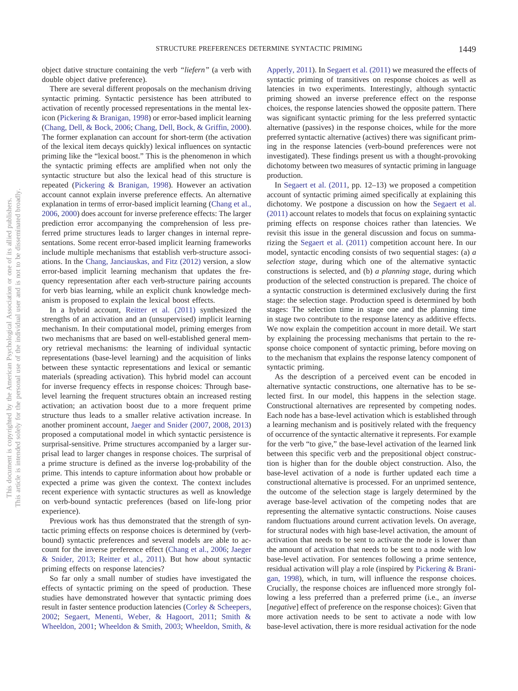object dative structure containing the verb *"liefern"* (a verb with double object dative preference).

There are several different proposals on the mechanism driving syntactic priming. Syntactic persistence has been attributed to activation of recently processed representations in the mental lexicon [\(Pickering & Branigan, 1998\)](#page-11-14) or error-based implicit learning [\(Chang, Dell, & Bock, 2006;](#page-10-3) [Chang, Dell, Bock, & Griffin, 2000\)](#page-10-4). The former explanation can account for short-term (the activation of the lexical item decays quickly) lexical influences on syntactic priming like the "lexical boost." This is the phenomenon in which the syntactic priming effects are amplified when not only the syntactic structure but also the lexical head of this structure is repeated [\(Pickering & Branigan, 1998\)](#page-11-14). However an activation account cannot explain inverse preference effects. An alternative explanation in terms of error-based implicit learning [\(Chang et al.,](#page-10-3) [2006,](#page-10-3) [2000\)](#page-10-4) does account for inverse preference effects: The larger prediction error accompanying the comprehension of less preferred prime structures leads to larger changes in internal representations. Some recent error-based implicit learning frameworks include multiple mechanisms that establish verb-structure associations. In the [Chang, Janciauskas, and Fitz \(2012\)](#page-10-5) version, a slow error-based implicit learning mechanism that updates the frequency representation after each verb-structure pairing accounts for verb bias learning, while an explicit chunk knowledge mechanism is proposed to explain the lexical boost effects.

In a hybrid account, [Reitter et al. \(2011\)](#page-11-13) synthesized the strengths of an activation and an (unsupervised) implicit learning mechanism. In their computational model, priming emerges from two mechanisms that are based on well-established general memory retrieval mechanisms: the learning of individual syntactic representations (base-level learning) and the acquisition of links between these syntactic representations and lexical or semantic materials (spreading activation). This hybrid model can account for inverse frequency effects in response choices: Through baselevel learning the frequent structures obtain an increased resting activation; an activation boost due to a more frequent prime structure thus leads to a smaller relative activation increase. In another prominent account, [Jaeger and Snider \(2007,](#page-11-10) [2008,](#page-11-11) [2013\)](#page-11-12) proposed a computational model in which syntactic persistence is surprisal-sensitive. Prime structures accompanied by a larger surprisal lead to larger changes in response choices. The surprisal of a prime structure is defined as the inverse log-probability of the prime. This intends to capture information about how probable or expected a prime was given the context. The context includes recent experience with syntactic structures as well as knowledge on verb-bound syntactic preferences (based on life-long prior experience).

Previous work has thus demonstrated that the strength of syntactic priming effects on response choices is determined by (verbbound) syntactic preferences and several models are able to account for the inverse preference effect [\(Chang et al., 2006;](#page-10-3) [Jaeger](#page-11-12) [& Snider, 2013;](#page-11-12) [Reitter et al., 2011\)](#page-11-13). But how about syntactic priming effects on response latencies?

So far only a small number of studies have investigated the effects of syntactic priming on the speed of production. These studies have demonstrated however that syntactic priming does result in faster sentence production latencies [\(Corley & Scheepers,](#page-10-6) [2002;](#page-10-6) [Segaert, Menenti, Weber, & Hagoort, 2011;](#page-11-15) [Smith &](#page-11-16) [Wheeldon, 2001;](#page-11-16) [Wheeldon & Smith, 2003;](#page-11-17) [Wheeldon, Smith, &](#page-11-18)

[Apperly, 2011\)](#page-11-18). In [Segaert et al. \(2011\)](#page-11-15) we measured the effects of syntactic priming of transitives on response choices as well as latencies in two experiments. Interestingly, although syntactic priming showed an inverse preference effect on the response choices, the response latencies showed the opposite pattern. There was significant syntactic priming for the less preferred syntactic alternative (passives) in the response choices, while for the more preferred syntactic alternative (actives) there was significant priming in the response latencies (verb-bound preferences were not investigated). These findings present us with a thought-provoking dichotomy between two measures of syntactic priming in language production.

In [Segaert et al. \(2011,](#page-11-15) pp. 12–13) we proposed a competition account of syntactic priming aimed specifically at explaining this dichotomy. We postpone a discussion on how the [Segaert et al.](#page-11-15) [\(2011\)](#page-11-15) account relates to models that focus on explaining syntactic priming effects on response choices rather than latencies. We revisit this issue in the general discussion and focus on summarizing the [Segaert et al. \(2011\)](#page-11-15) competition account here. In our model, syntactic encoding consists of two sequential stages: (a) *a selection stage*, during which one of the alternative syntactic constructions is selected, and (b) *a planning stage*, during which production of the selected construction is prepared. The choice of a syntactic construction is determined exclusively during the first stage: the selection stage. Production speed is determined by both stages: The selection time in stage one and the planning time in stage two contribute to the response latency as additive effects. We now explain the competition account in more detail. We start by explaining the processing mechanisms that pertain to the response choice component of syntactic priming, before moving on to the mechanism that explains the response latency component of syntactic priming.

As the description of a perceived event can be encoded in alternative syntactic constructions, one alternative has to be selected first. In our model, this happens in the selection stage. Constructional alternatives are represented by competing nodes. Each node has a base-level activation which is established through a learning mechanism and is positively related with the frequency of occurrence of the syntactic alternative it represents. For example for the verb "to give," the base-level activation of the learned link between this specific verb and the prepositional object construction is higher than for the double object construction. Also, the base-level activation of a node is further updated each time a constructional alternative is processed. For an unprimed sentence, the outcome of the selection stage is largely determined by the average base-level activation of the competing nodes that are representing the alternative syntactic constructions. Noise causes random fluctuations around current activation levels. On average, for structural nodes with high base-level activation, the amount of activation that needs to be sent to activate the node is lower than the amount of activation that needs to be sent to a node with low base-level activation. For sentences following a prime sentence, residual activation will play a role (inspired by [Pickering & Brani](#page-11-14)[gan, 1998\)](#page-11-14), which, in turn, will influence the response choices. Crucially, the response choices are influenced more strongly following a less preferred than a preferred prime (i.e., an *inverse* [*negative*] effect of preference on the response choices): Given that more activation needs to be sent to activate a node with low base-level activation, there is more residual activation for the node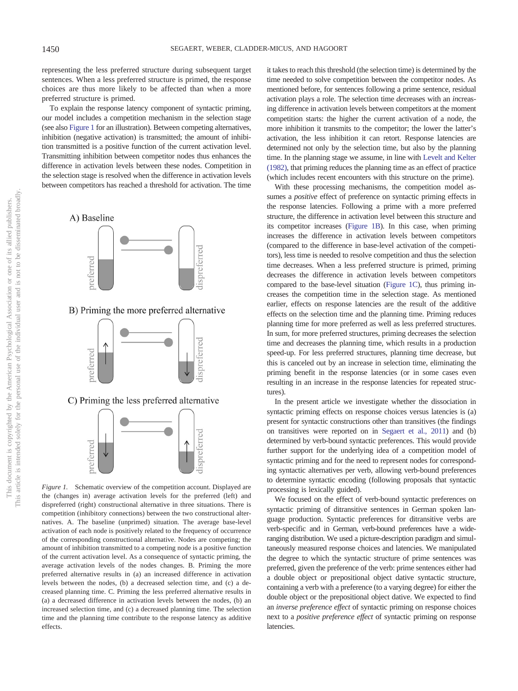representing the less preferred structure during subsequent target sentences. When a less preferred structure is primed, the response choices are thus more likely to be affected than when a more preferred structure is primed.

To explain the response latency component of syntactic priming, our model includes a competition mechanism in the selection stage (see also [Figure 1](#page-2-0) for an illustration). Between competing alternatives, inhibition (negative activation) is transmitted; the amount of inhibition transmitted is a positive function of the current activation level. Transmitting inhibition between competitor nodes thus enhances the difference in activation levels between these nodes. Competition in the selection stage is resolved when the difference in activation levels between competitors has reached a threshold for activation. The time



<span id="page-2-0"></span>*Figure 1.* Schematic overview of the competition account. Displayed are the (changes in) average activation levels for the preferred (left) and dispreferred (right) constructional alternative in three situations. There is competition (inhibitory connections) between the two constructional alternatives. A. The baseline (unprimed) situation. The average base-level activation of each node is positively related to the frequency of occurrence of the corresponding constructional alternative. Nodes are competing; the amount of inhibition transmitted to a competing node is a positive function of the current activation level. As a consequence of syntactic priming, the average activation levels of the nodes changes. B. Priming the more preferred alternative results in (a) an increased difference in activation levels between the nodes, (b) a decreased selection time, and (c) a decreased planning time. C. Priming the less preferred alternative results in (a) a decreased difference in activation levels between the nodes, (b) an increased selection time, and (c) a decreased planning time. The selection time and the planning time contribute to the response latency as additive effects.

it takes to reach this threshold (the selection time) is determined by the time needed to solve competition between the competitor nodes. As mentioned before, for sentences following a prime sentence, residual activation plays a role. The selection time *de*creases with an *in*creasing difference in activation levels between competitors at the moment competition starts: the higher the current activation of a node, the more inhibition it transmits to the competitor; the lower the latter's activation, the less inhibition it can retort. Response latencies are determined not only by the selection time, but also by the planning time. In the planning stage we assume, in line with [Levelt and Kelter](#page-11-19) [\(1982\),](#page-11-19) that priming reduces the planning time as an effect of practice (which includes recent encounters with this structure on the prime).

With these processing mechanisms, the competition model assumes a *positive* effect of preference on syntactic priming effects in the response latencies. Following a prime with a more preferred structure, the difference in activation level between this structure and its competitor increases [\(Figure 1B\)](#page-2-0). In this case, when priming increases the difference in activation levels between competitors (compared to the difference in base-level activation of the competitors), less time is needed to resolve competition and thus the selection time decreases. When a less preferred structure is primed, priming decreases the difference in activation levels between competitors compared to the base-level situation [\(Figure 1C\)](#page-2-0), thus priming increases the competition time in the selection stage. As mentioned earlier, effects on response latencies are the result of the additive effects on the selection time and the planning time. Priming reduces planning time for more preferred as well as less preferred structures. In sum, for more preferred structures, priming decreases the selection time and decreases the planning time, which results in a production speed-up. For less preferred structures, planning time decrease, but this is canceled out by an increase in selection time, eliminating the priming benefit in the response latencies (or in some cases even resulting in an increase in the response latencies for repeated structures).

In the present article we investigate whether the dissociation in syntactic priming effects on response choices versus latencies is (a) present for syntactic constructions other than transitives (the findings on transitives were reported on in [Segaert et al., 2011\)](#page-11-15) and (b) determined by verb-bound syntactic preferences. This would provide further support for the underlying idea of a competition model of syntactic priming and for the need to represent nodes for corresponding syntactic alternatives per verb, allowing verb-bound preferences to determine syntactic encoding (following proposals that syntactic processing is lexically guided).

We focused on the effect of verb-bound syntactic preferences on syntactic priming of ditransitive sentences in German spoken language production. Syntactic preferences for ditransitive verbs are verb-specific and in German, verb-bound preferences have a wideranging distribution. We used a picture-description paradigm and simultaneously measured response choices and latencies. We manipulated the degree to which the syntactic structure of prime sentences was preferred, given the preference of the verb: prime sentences either had a double object or prepositional object dative syntactic structure, containing a verb with a preference (to a varying degree) for either the double object or the prepositional object dative. We expected to find an *inverse preference effect* of syntactic priming on response choices next to a *positive preference effect* of syntactic priming on response latencies.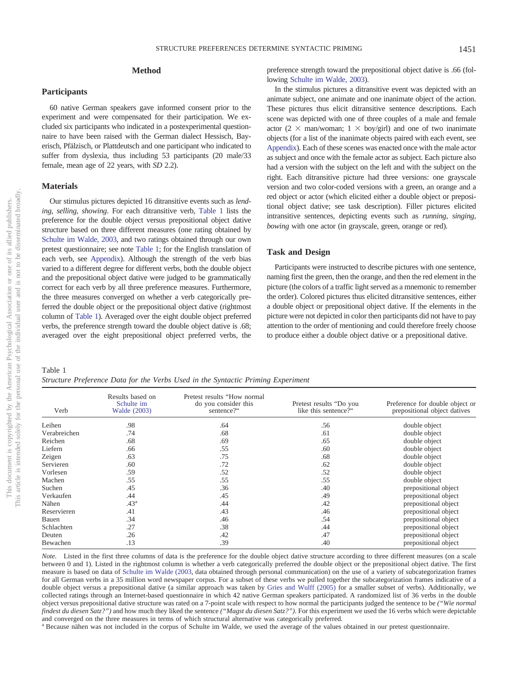### **Method**

### **Participants**

60 native German speakers gave informed consent prior to the experiment and were compensated for their participation. We excluded six participants who indicated in a postexperimental questionnaire to have been raised with the German dialect Hessisch, Bayerisch, Pfälzisch, or Plattdeutsch and one participant who indicated to suffer from dyslexia, thus including 53 participants (20 male/33 female, mean age of 22 years, with *SD* 2.2).

### **Materials**

Our stimulus pictures depicted 16 ditransitive events such as *lending, selling, showing*. For each ditransitive verb, [Table 1](#page-3-0) lists the preference for the double object versus prepositional object dative structure based on three different measures (one rating obtained by [Schulte im Walde, 2003,](#page-11-0) and two ratings obtained through our own pretest questionnaire; see note [Table 1;](#page-3-0) for the English translation of each verb, see [Appendix\)](#page-12-0). Although the strength of the verb bias varied to a different degree for different verbs, both the double object and the prepositional object dative were judged to be grammatically correct for each verb by all three preference measures. Furthermore, the three measures converged on whether a verb categorically preferred the double object or the prepositional object dative (rightmost column of [Table 1\)](#page-3-0). Averaged over the eight double object preferred verbs, the preference strength toward the double object dative is .68; averaged over the eight prepositional object preferred verbs, the

<span id="page-3-0"></span>Table 1 *Structure Preference Data for the Verbs Used in the Syntactic Priming Experiment*

preference strength toward the prepositional object dative is .66 (following [Schulte im Walde, 2003\)](#page-11-0).

In the stimulus pictures a ditransitive event was depicted with an animate subject, one animate and one inanimate object of the action. These pictures thus elicit ditransitive sentence descriptions. Each scene was depicted with one of three couples of a male and female actor (2  $\times$  man/woman; 1  $\times$  boy/girl) and one of two inanimate objects (for a list of the inanimate objects paired with each event, see [Appendix\)](#page-12-0). Each of these scenes was enacted once with the male actor as subject and once with the female actor as subject. Each picture also had a version with the subject on the left and with the subject on the right. Each ditransitive picture had three versions: one grayscale version and two color-coded versions with a green, an orange and a red object or actor (which elicited either a double object or prepositional object dative; see task description). Filler pictures elicited intransitive sentences, depicting events such as *running, singing, bowing* with one actor (in grayscale, green, orange or red).

### **Task and Design**

Participants were instructed to describe pictures with one sentence, naming first the green, then the orange, and then the red element in the picture (the colors of a traffic light served as a mnemonic to remember the order). Colored pictures thus elicited ditransitive sentences, either a double object or prepositional object dative. If the elements in the picture were not depicted in color then participants did not have to pay attention to the order of mentioning and could therefore freely choose to produce either a double object dative or a prepositional dative.

| Verb         | Results based on<br>Schulte im<br>Walde (2003) | Pretest results "How normal<br>do you consider this<br>sentence?" | Pretest results "Do you<br>like this sentence?" | Preference for double object or<br>prepositional object datives |
|--------------|------------------------------------------------|-------------------------------------------------------------------|-------------------------------------------------|-----------------------------------------------------------------|
| Leihen       | .98                                            | .64                                                               | .56                                             | double object                                                   |
| Verabreichen | .74                                            | .68                                                               | .61                                             | double object                                                   |
| Reichen      | .68                                            | .69                                                               | .65                                             | double object                                                   |
| Liefern      | .66                                            | .55                                                               | .60                                             | double object                                                   |
| Zeigen       | .63                                            | .75                                                               | .68                                             | double object                                                   |
| Servieren    | .60                                            | .72                                                               | .62                                             | double object                                                   |
| Vorlesen     | .59                                            | .52                                                               | .52                                             | double object                                                   |
| Machen       | .55                                            | .55                                                               | .55                                             | double object                                                   |
| Suchen       | .45                                            | .36                                                               | .40                                             | prepositional object                                            |
| Verkaufen    | .44                                            | .45                                                               | .49                                             | prepositional object                                            |
| Nähen        | .43 <sup>a</sup>                               | .44                                                               | .42                                             | prepositional object                                            |
| Reservieren  | .41                                            | .43                                                               | .46                                             | prepositional object                                            |
| Bauen        | .34                                            | .46                                                               | .54                                             | prepositional object                                            |
| Schlachten   | .27                                            | .38                                                               | .44                                             | prepositional object                                            |
| Deuten       | .26                                            | .42                                                               | .47                                             | prepositional object                                            |
| Bewachen     | .13                                            | .39                                                               | .40                                             | prepositional object                                            |

*Note.* Listed in the first three columns of data is the preference for the double object dative structure according to three different measures (on a scale between 0 and 1). Listed in the rightmost column is whether a verb categorically preferred the double object or the prepositional object dative. The first measure is based on data of [Schulte im Walde \(2003,](#page-11-0) data obtained through personal communication) on the use of a variety of subcategorization frames for all German verbs in a 35 million word newspaper corpus. For a subset of these verbs we pulled together the subcategorization frames indicative of a double object versus a prepositional dative (a similar approach was taken by [Gries and Wulff \(2005\)](#page-11-20) for a smaller subset of verbs). Additionally, we collected ratings through an Internet-based questionnaire in which 42 native German speakers participated. A randomized list of 36 verbs in the double object versus prepositional dative structure was rated on a 7-point scale with respect to how normal the participants judged the sentence to be *("Wie normal findest du diesen Satz?")* and how much they liked the sentence *("Magst du diesen Satz?")*. For this experiment we used the 16 verbs which were depictable and converged on the three measures in terms of which structural alternative was categorically preferred.

<sup>a</sup> Because nähen was not included in the corpus of Schulte im Walde, we used the average of the values obtained in our pretest questionnaire.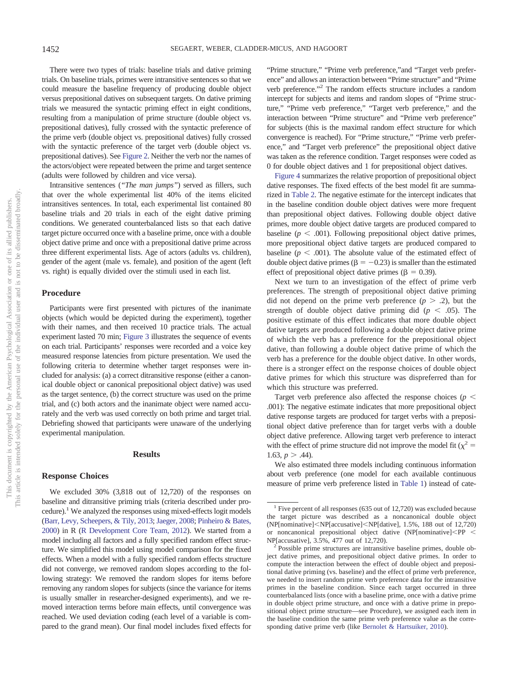There were two types of trials: baseline trials and dative priming trials. On baseline trials, primes were intransitive sentences so that we could measure the baseline frequency of producing double object versus prepositional datives on subsequent targets. On dative priming trials we measured the syntactic priming effect in eight conditions, resulting from a manipulation of prime structure (double object vs. prepositional datives), fully crossed with the syntactic preference of the prime verb (double object vs. prepositional datives) fully crossed with the syntactic preference of the target verb (double object vs. prepositional datives). See [Figure 2.](#page-5-0) Neither the verb nor the names of the actors/object were repeated between the prime and target sentence (adults were followed by children and vice versa).

Intransitive sentences (*"The man jumps"*) served as fillers, such that over the whole experimental list 40% of the items elicited intransitives sentences. In total, each experimental list contained 80 baseline trials and 20 trials in each of the eight dative priming conditions. We generated counterbalanced lists so that each dative target picture occurred once with a baseline prime, once with a double object dative prime and once with a prepositional dative prime across three different experimental lists. Age of actors (adults vs. children), gender of the agent (male vs. female), and position of the agent (left vs. right) is equally divided over the stimuli used in each list.

### **Procedure**

Participants were first presented with pictures of the inanimate objects (which would be depicted during the experiment), together with their names, and then received 10 practice trials. The actual experiment lasted 70 min; [Figure 3](#page-6-0) illustrates the sequence of events on each trial. Participants' responses were recorded and a voice key measured response latencies from picture presentation. We used the following criteria to determine whether target responses were included for analysis: (a) a correct ditransitive response (either a canonical double object or canonical prepositional object dative) was used as the target sentence, (b) the correct structure was used on the prime trial, and (c) both actors and the inanimate object were named accurately and the verb was used correctly on both prime and target trial. Debriefing showed that participants were unaware of the underlying experimental manipulation.

#### **Results**

#### **Response Choices**

We excluded 30% (3,818 out of 12,720) of the responses on baseline and ditransitive priming trials (criteria described under procedure).<sup>1</sup> We analyzed the responses using mixed-effects logit models [\(Barr, Levy, Scheepers, & Tily, 2013;](#page-10-7) [Jaeger, 2008;](#page-11-21) [Pinheiro & Bates,](#page-11-22) [2000\)](#page-11-22) in R [\(R Development Core Team, 2012\)](#page-11-23). We started from a model including all factors and a fully specified random effect structure. We simplified this model using model comparison for the fixed effects. When a model with a fully specified random effects structure did not converge, we removed random slopes according to the following strategy: We removed the random slopes for items before removing any random slopes for subjects (since the variance for items is usually smaller in researcher-designed experiments), and we removed interaction terms before main effects, until convergence was reached. We used deviation coding (each level of a variable is compared to the grand mean). Our final model includes fixed effects for

"Prime structure," "Prime verb preference,"and "Target verb preference" and allows an interaction between "Prime structure" and "Prime verb preference."2 The random effects structure includes a random intercept for subjects and items and random slopes of "Prime structure," "Prime verb preference," "Target verb preference," and the interaction between "Prime structure" and "Prime verb preference" for subjects (this is the maximal random effect structure for which convergence is reached). For "Prime structure," "Prime verb preference," and "Target verb preference" the prepositional object dative was taken as the reference condition. Target responses were coded as 0 for double object datives and 1 for prepositional object datives.

[Figure 4](#page-6-1) summarizes the relative proportion of prepositional object dative responses. The fixed effects of the best model fit are summarized in [Table 2.](#page-6-2) The negative estimate for the intercept indicates that in the baseline condition double object datives were more frequent than prepositional object datives. Following double object dative primes, more double object dative targets are produced compared to baseline ( $p < .001$ ). Following prepositional object dative primes, more prepositional object dative targets are produced compared to baseline  $(p < .001)$ . The absolute value of the estimated effect of double object dative primes ( $\beta = -0.23$ ) is smaller than the estimated effect of prepositional object dative primes ( $\beta = 0.39$ ).

Next we turn to an investigation of the effect of prime verb preferences. The strength of prepositional object dative priming did not depend on the prime verb preference  $(p > .2)$ , but the strength of double object dative priming did ( $p < .05$ ). The positive estimate of this effect indicates that more double object dative targets are produced following a double object dative prime of which the verb has a preference for the prepositional object dative, than following a double object dative prime of which the verb has a preference for the double object dative. In other words, there is a stronger effect on the response choices of double object dative primes for which this structure was dispreferred than for which this structure was preferred.

Target verb preference also affected the response choices ( $p <$ .001): The negative estimate indicates that more prepositional object dative response targets are produced for target verbs with a prepositional object dative preference than for target verbs with a double object dative preference. Allowing target verb preference to interact with the effect of prime structure did not improve the model fit ( $\chi^2$  = 1.63,  $p > .44$ ).

We also estimated three models including continuous information about verb preference (one model for each available continuous measure of prime verb preference listed in [Table 1\)](#page-3-0) instead of cate-

<sup>&</sup>lt;sup>1</sup> Five percent of all responses (635 out of 12,720) was excluded because the target picture was described as a noncanonical double object (NP[nominative]<NP[accusative]<NP[dative], 1.5%, 188 out of 12,720) or noncanonical prepositional object dative (NP[nominative] $\langle PP|$ 

NP[accusative], 3.5%, 477 out of 12,720).<br><sup>2</sup> Possible prime structures are intransitive baseline primes, double object dative primes, and prepositional object dative primes. In order to compute the interaction between the effect of double object and prepositional dative priming (vs. baseline) and the effect of prime verb preference, we needed to insert random prime verb preference data for the intransitive primes in the baseline condition. Since each target occurred in three counterbalanced lists (once with a baseline prime, once with a dative prime in double object prime structure, and once with a dative prime in prepositional object prime structure—see Procedure), we assigned each item in the baseline condition the same prime verb preference value as the corresponding dative prime verb (like [Bernolet & Hartsuiker, 2010\)](#page-10-2).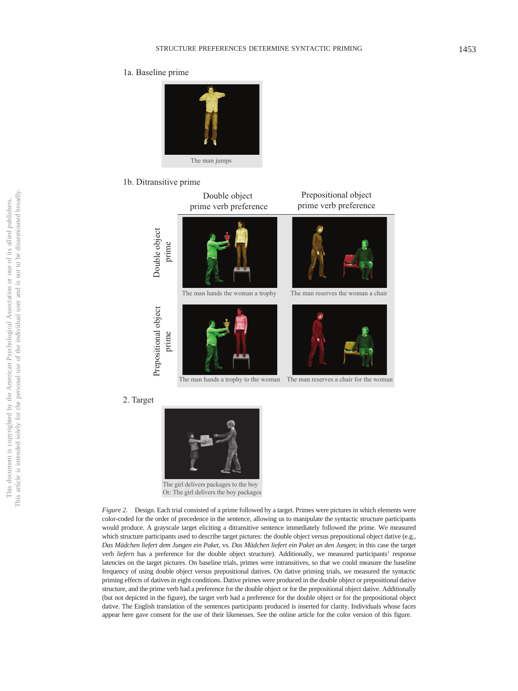### 1a. Baseline prime



### 1b. Ditransitive prime



<span id="page-5-0"></span>

*Figure 2.* Design. Each trial consisted of a prime followed by a target. Primes were pictures in which elements were color-coded for the order of precedence in the sentence, allowing us to manipulate the syntactic structure participants would produce. A grayscale target eliciting a ditransitive sentence immediately followed the prime. We measured which structure participants used to describe target pictures: the double object versus prepositional object dative (e.g., *Das Mädchen liefert dem Jungen ein Paket,* vs. *Das Mädchen liefert ein Paket an den Jungen*; in this case the target verb *liefern* has a preference for the double object structure). Additionally, we measured participants' response latencies on the target pictures. On baseline trials, primes were intransitives, so that we could measure the baseline frequency of using double object versus prepositional datives. On dative priming trials, we measured the syntactic priming effects of datives in eight conditions. Dative primes were produced in the double object or prepositional dative structure, and the prime verb had a preference for the double object or for the prepositional object dative. Additionally (but not depicted in the figure), the target verb had a preference for the double object or for the prepositional object dative. The English translation of the sentences participants produced is inserted for clarity. Individuals whose faces appear here gave consent for the use of their likenesses. See the online article for the color version of this figure.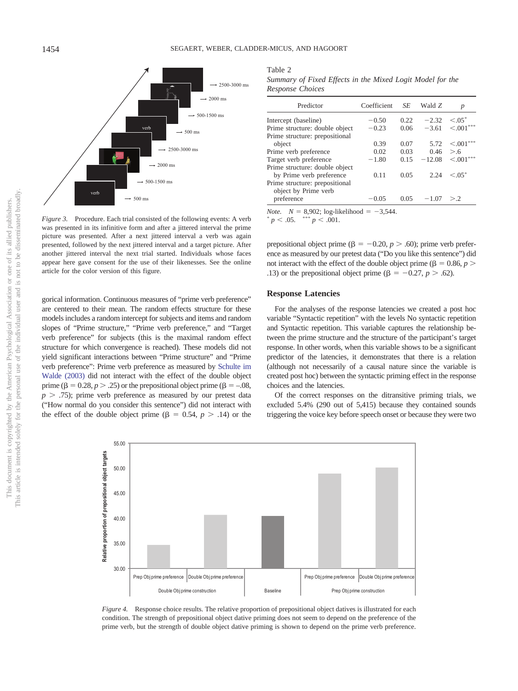

<span id="page-6-0"></span>*Figure 3.* Procedure. Each trial consisted of the following events: A verb was presented in its infinitive form and after a jittered interval the prime picture was presented. After a next jittered interval a verb was again presented, followed by the next jittered interval and a target picture. After another jittered interval the next trial started. Individuals whose faces appear here gave consent for the use of their likenesses. See the online article for the color version of this figure.

gorical information. Continuous measures of "prime verb preference" are centered to their mean. The random effects structure for these models includes a random intercept for subjects and items and random slopes of "Prime structure," "Prime verb preference," and "Target verb preference" for subjects (this is the maximal random effect structure for which convergence is reached). These models did not yield significant interactions between "Prime structure" and "Prime verb preference": Prime verb preference as measured by [Schulte im](#page-11-0) [Walde \(2003\)](#page-11-0) did not interact with the effect of the double object prime ( $\beta = 0.28$ ,  $p > .25$ ) or the prepositional object prime ( $\beta = -.08$ ,  $p > .75$ ; prime verb preference as measured by our pretest data ("How normal do you consider this sentence") did not interact with the effect of the double object prime ( $\beta = 0.54$ ,  $p > .14$ ) or the

<span id="page-6-2"></span>Table 2

| Summary of Fixed Effects in the Mixed Logit Model for the |  |  |  |  |  |
|-----------------------------------------------------------|--|--|--|--|--|
| Response Choices                                          |  |  |  |  |  |

| Predictor                                                  | Coefficient | SE   | Wald Z   | p              |
|------------------------------------------------------------|-------------|------|----------|----------------|
| Intercept (baseline)                                       | $-0.50$     | 0.22 | $-2.32$  | $\leq 0.05$ *  |
| Prime structure: double object                             | $-0.23$     | 0.06 | $-3.61$  | $\leq 0.01***$ |
| Prime structure: prepositional                             |             |      |          |                |
| object                                                     | 0.39        | 0.07 | 5.72     | < 0.01         |
| Prime verb preference                                      | 0.02        | 0.03 | 0.46     | > 6            |
| Target verb preference                                     | $-1.80$     | 0.15 | $-12.08$ | $\leq 0.01***$ |
| Prime structure: double object<br>by Prime verb preference | 0.11        | 0.05 | 2.24     | $< 0.5$ *      |
| Prime structure: prepositional<br>object by Prime verb     |             |      |          |                |
| preference                                                 | $-0.05$     | 0.05 | $-1.07$  | > 2            |

*Note.*  $N = 8,902$ ; log-likelihood = -3,544.

 $p < .05.$  \*\*\*  $p < .001.$ 

prepositional object prime ( $\beta = -0.20$ ,  $p > .60$ ); prime verb preference as measured by our pretest data ("Do you like this sentence") did not interact with the effect of the double object prime ( $\beta = 0.86, p >$ .13) or the prepositional object prime ( $\beta = -0.27$ ,  $p > .62$ ).

#### **Response Latencies**

For the analyses of the response latencies we created a post hoc variable "Syntactic repetition" with the levels No syntactic repetition and Syntactic repetition. This variable captures the relationship between the prime structure and the structure of the participant's target response. In other words, when this variable shows to be a significant predictor of the latencies, it demonstrates that there is a relation (although not necessarily of a causal nature since the variable is created post hoc) between the syntactic priming effect in the response choices and the latencies.

Of the correct responses on the ditransitive priming trials, we excluded 5.4% (290 out of 5,415) because they contained sounds triggering the voice key before speech onset or because they were two



<span id="page-6-1"></span>*Figure 4.* Response choice results. The relative proportion of prepositional object datives is illustrated for each condition. The strength of prepositional object dative priming does not seem to depend on the preference of the prime verb, but the strength of double object dative priming is shown to depend on the prime verb preference.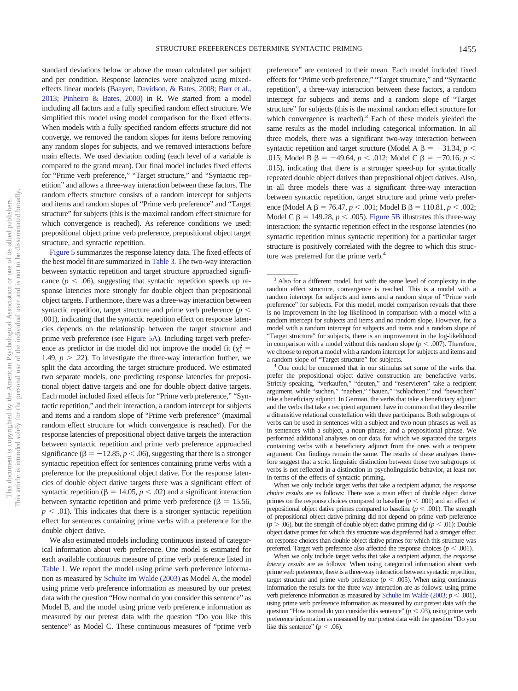standard deviations below or above the mean calculated per subject and per condition. Response latencies were analyzed using mixedeffects linear models [\(Baayen, Davidson, & Bates, 2008;](#page-10-8) [Barr et al.,](#page-10-7) [2013;](#page-10-7) [Pinheiro & Bates, 2000\)](#page-11-22) in R. We started from a model including all factors and a fully specified random effect structure. We simplified this model using model comparison for the fixed effects. When models with a fully specified random effects structure did not converge, we removed the random slopes for items before removing any random slopes for subjects, and we removed interactions before main effects. We used deviation coding (each level of a variable is compared to the grand mean). Our final model includes fixed effects for "Prime verb preference," "Target structure," and "Syntactic repetition" and allows a three-way interaction between these factors. The random effects structure consists of a random intercept for subjects and items and random slopes of "Prime verb preference" and "Target structure" for subjects (this is the maximal random effect structure for which convergence is reached). As reference conditions we used: prepositional object prime verb preference, prepositional object target structure, and syntactic repetition.

[Figure 5](#page-8-0) summarizes the response latency data. The fixed effects of the best model fit are summarized in [Table 3.](#page-9-0) The two-way interaction between syntactic repetition and target structure approached significance  $(p < .06)$ , suggesting that syntactic repetition speeds up response latencies more strongly for double object than prepositional object targets. Furthermore, there was a three-way interaction between syntactic repetition, target structure and prime verb preference ( $p <$ .001), indicating that the syntactic repetition effect on response latencies depends on the relationship between the target structure and prime verb preference (see [Figure 5A\)](#page-8-0). Including target verb preference as predictor in the model did not improve the model fit  $(\chi_1^2 =$ 1.49,  $p > .22$ ). To investigate the three-way interaction further, we split the data according the target structure produced. We estimated two separate models, one predicting response latencies for prepositional object dative targets and one for double object dative targets. Each model included fixed effects for "Prime verb preference," "Syntactic repetition," and their interaction, a random intercept for subjects and items and a random slope of "Prime verb preference" (maximal random effect structure for which convergence is reached). For the response latencies of prepositional object dative targets the interaction between syntactic repetition and prime verb preference approached significance ( $\beta = -12.85, p < .06$ ), suggesting that there is a stronger syntactic repetition effect for sentences containing prime verbs with a preference for the prepositional object dative. For the response latencies of double object dative targets there was a significant effect of syntactic repetition ( $\beta$  = 14.05,  $p$  < .02) and a significant interaction between syntactic repetition and prime verb preference ( $\beta = 15.56$ ,  $p \leq 0.01$ ). This indicates that there is a stronger syntactic repetition effect for sentences containing prime verbs with a preference for the double object dative.

We also estimated models including continuous instead of categorical information about verb preference. One model is estimated for each available continuous measure of prime verb preference listed in [Table 1.](#page-3-0) We report the model using prime verb preference information as measured by [Schulte im Walde \(2003\)](#page-11-0) as Model A, the model using prime verb preference information as measured by our pretest data with the question "How normal do you consider this sentence" as Model B, and the model using prime verb preference information as measured by our pretest data with the question "Do you like this sentence" as Model C. These continuous measures of "prime verb

preference" are centered to their mean. Each model included fixed effects for "Prime verb preference," "Target structure," and "Syntactic repetition", a three-way interaction between these factors, a random intercept for subjects and items and a random slope of "Target structure" for subjects (this is the maximal random effect structure for which convergence is reached). $3$  Each of these models yielded the same results as the model including categorical information. In all three models, there was a significant two-way interaction between syntactic repetition and target structure (Model A  $\beta = -31.34$ ,  $p <$ .015; Model B  $\beta = -49.64$ ,  $p < .012$ ; Model C  $\beta = -70.16$ ,  $p <$ .015), indicating that there is a stronger speed-up for syntactically repeated double object datives than prepositional object datives. Also, in all three models there was a significant three-way interaction between syntactic repetition, target structure and prime verb preference (Model A  $\beta$  = 76.47, *p* < .001; Model B  $\beta$  = 110.81, *p* < .002; Model C  $\beta$  = 149.28,  $p < .005$ ). [Figure 5B](#page-8-0) illustrates this three-way interaction: the syntactic repetition effect in the response latencies (no syntactic repetition minus syntactic repetition) for a particular target structure is positively correlated with the degree to which this structure was preferred for the prime verb.<sup>4</sup>

When we only include target verbs that take a recipient adjunct, the *response choice results* are as follows: There was a main effect of double object dative primes on the response choices compared to baseline  $(p < .001)$  and an effect of prepositional object dative primes compared to baseline  $(p < .001)$ . The strength of prepositional object dative priming did not depend on prime verb preference  $(p > .06)$ , but the strength of double object dative priming did  $(p < .01)$ : Double object dative primes for which this structure was dispreferred had a stronger effect on response choices than double object dative primes for which this structure was preferred. Target verb preference also affected the response choices ( $p < .001$ ).

When we only include target verbs that take a recipient adjunct, the *response latency results* are as follows: When using categorical information about verb prime verb preference, there is a three-way interaction between syntactic repetition, target structure and prime verb preference ( $p < .005$ ). When using continuous information the results for the three-way interaction are as follows: using prime verb preference information as measured by [Schulte im Walde \(2003;](#page-11-0)  $p < .001$ ), using prime verb preference information as measured by our pretest data with the question "How normal do you consider this sentence" ( $p < .03$ ), using prime verb preference information as measured by our pretest data with the question "Do you like this sentence" ( $p < .06$ ).

<sup>&</sup>lt;sup>3</sup> Also for a different model, but with the same level of complexity in the random effect structure, convergence is reached. This is a model with a random intercept for subjects and items and a random slope of "Prime verb preference" for subjects. For this model, model comparison reveals that there is no improvement in the log-likelihood in comparison with a model with a random intercept for subjects and items and no random slope. However, for a model with a random intercept for subjects and items and a random slope of "Target structure" for subjects, there is an improvement in the log-likelihood in comparison with a model without this random slope ( $p < .007$ ). Therefore, we choose to report a model with a random intercept for subjects and items and

 $4$  One could be concerned that in our stimulus set some of the verbs that prefer the prepositional object dative construction are benefactive verbs. Strictly speaking, "verkaufen," "deuten," and "reservieren" take a recipient argument, while "suchen," "naehen," "bauen," "schlachten," and "bewachen" take a beneficiary adjunct. In German, the verbs that take a beneficiary adjunct and the verbs that take a recipient argument have in common that they describe a ditransitive relational constellation with three participants. Both subgroups of verbs can be used in sentences with a subject and two noun phrases as well as in sentences with a subject, a noun phrase, and a prepositional phrase. We performed additional analyses on our data, for which we separated the targets containing verbs with a beneficiary adjunct from the ones with a recipient argument. Our findings remain the same. The results of these analyses therefore suggest that a strict linguistic distinction between those two subgroups of verbs is not reflected in a distinction in psycholinguistic behavior, at least not in terms of the effects of syntactic priming.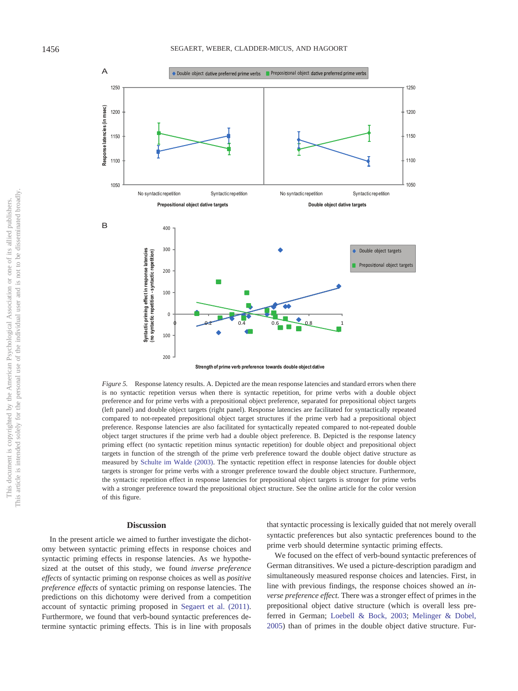

<span id="page-8-0"></span>*Figure 5.* Response latency results. A. Depicted are the mean response latencies and standard errors when there is no syntactic repetition versus when there is syntactic repetition, for prime verbs with a double object preference and for prime verbs with a prepositional object preference, separated for prepositional object targets (left panel) and double object targets (right panel). Response latencies are facilitated for syntactically repeated compared to not-repeated prepositional object target structures if the prime verb had a prepositional object preference. Response latencies are also facilitated for syntactically repeated compared to not-repeated double object target structures if the prime verb had a double object preference. B. Depicted is the response latency priming effect (no syntactic repetition minus syntactic repetition) for double object and prepositional object targets in function of the strength of the prime verb preference toward the double object dative structure as measured by [Schulte im Walde \(2003\).](#page-11-0) The syntactic repetition effect in response latencies for double object targets is stronger for prime verbs with a stronger preference toward the double object structure. Furthermore, the syntactic repetition effect in response latencies for prepositional object targets is stronger for prime verbs with a stronger preference toward the prepositional object structure. See the online article for the color version of this figure.

#### **Discussion**

In the present article we aimed to further investigate the dichotomy between syntactic priming effects in response choices and syntactic priming effects in response latencies. As we hypothesized at the outset of this study, we found *inverse preference effects* of syntactic priming on response choices as well as *positive preference effects* of syntactic priming on response latencies. The predictions on this dichotomy were derived from a competition account of syntactic priming proposed in [Segaert et al. \(2011\).](#page-11-15) Furthermore, we found that verb-bound syntactic preferences determine syntactic priming effects. This is in line with proposals

that syntactic processing is lexically guided that not merely overall syntactic preferences but also syntactic preferences bound to the prime verb should determine syntactic priming effects.

We focused on the effect of verb-bound syntactic preferences of German ditransitives. We used a picture-description paradigm and simultaneously measured response choices and latencies. First, in line with previous findings, the response choices showed an *inverse preference effect.* There was a stronger effect of primes in the prepositional object dative structure (which is overall less preferred in German; [Loebell & Bock, 2003;](#page-11-24) [Melinger & Dobel,](#page-11-4) [2005\)](#page-11-4) than of primes in the double object dative structure. Fur-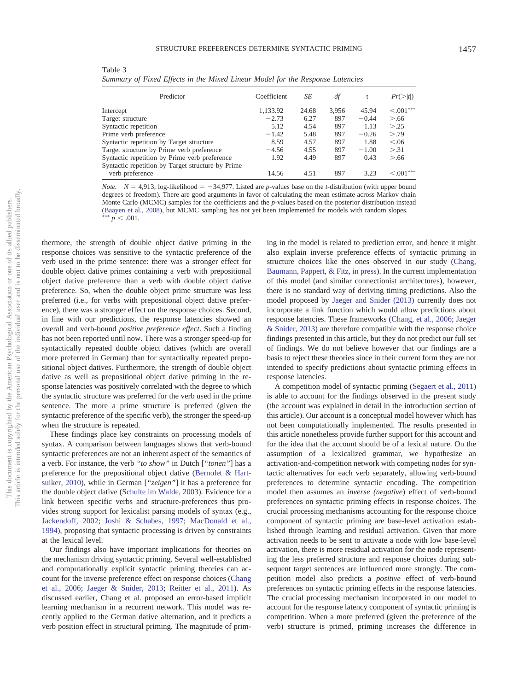<span id="page-9-0"></span>Table 3 *Summary of Fixed Effects in the Mixed Linear Model for the Response Latencies*

| Predictor                                         | Coefficient | SЕ    | df    | t       | $Pr(>\vert t \vert)$ |
|---------------------------------------------------|-------------|-------|-------|---------|----------------------|
| Intercept                                         | 1,133.92    | 24.68 | 3.956 | 45.94   | $\leq 0.01***$       |
| Target structure                                  | $-2.73$     | 6.27  | 897   | $-0.44$ | > 66                 |
| Syntactic repetition                              | 5.12        | 4.54  | 897   | 1.13    | > 0.25               |
| Prime verb preference                             | $-1.42$     | 5.48  | 897   | $-0.26$ | > 79                 |
| Syntactic repetition by Target structure          | 8.59        | 4.57  | 897   | 1.88    | < .06                |
| Target structure by Prime verb preference         | $-4.56$     | 4.55  | 897   | $-1.00$ | > 31                 |
| Syntactic repetition by Prime verb preference     | 1.92        | 4.49  | 897   | 0.43    | > 66                 |
| Syntactic repetition by Target structure by Prime |             |       |       |         |                      |
| verb preference                                   | 14.56       | 4.51  | 897   | 3.23    | $\leq 0.01***$       |

*Note.*  $N = 4.913$ ; log-likelihood =  $-34.977$ . Listed are *p*-values base on the *t*-distribution (with upper bound degrees of freedom). There are good arguments in favor of calculating the mean estimate across Markov chain Monte Carlo (MCMC) samples for the coefficients and the *p*-values based on the posterior distribution instead [\(Baayen et al., 2008\)](#page-10-8), but MCMC sampling has not yet been implemented for models with random slopes.<br>\*\*\*  $p \le 0.01$  $p < .001$ .

thermore, the strength of double object dative priming in the response choices was sensitive to the syntactic preference of the verb used in the prime sentence: there was a stronger effect for double object dative primes containing a verb with prepositional object dative preference than a verb with double object dative preference. So, when the double object prime structure was less preferred (i.e., for verbs with prepositional object dative preference), there was a stronger effect on the response choices. Second, in line with our predictions, the response latencies showed an overall and verb-bound *positive preference effect*. Such a finding has not been reported until now. There was a stronger speed-up for syntactically repeated double object datives (which are overall more preferred in German) than for syntactically repeated prepositional object datives. Furthermore, the strength of double object dative as well as prepositional object dative priming in the response latencies was positively correlated with the degree to which the syntactic structure was preferred for the verb used in the prime sentence. The more a prime structure is preferred (given the syntactic preference of the specific verb), the stronger the speed-up when the structure is repeated.

These findings place key constraints on processing models of syntax. A comparison between languages shows that verb-bound syntactic preferences are not an inherent aspect of the semantics of a verb. For instance, the verb *"to show"* in Dutch [*"tonen"*] has a preference for the prepositional object dative [\(Bernolet & Hart](#page-10-2)[suiker, 2010\)](#page-10-2), while in German [*"zeigen"*] it has a preference for the double object dative [\(Schulte im Walde, 2003\)](#page-11-0). Evidence for a link between specific verbs and structure-preferences thus provides strong support for lexicalist parsing models of syntax (e.g., [Jackendoff, 2002;](#page-11-1) [Joshi & Schabes, 1997;](#page-11-2) [MacDonald et al.,](#page-11-3) [1994\)](#page-11-3), proposing that syntactic processing is driven by constraints at the lexical level.

Our findings also have important implications for theories on the mechanism driving syntactic priming. Several well-established and computationally explicit syntactic priming theories can account for the inverse preference effect on response choices [\(Chang](#page-10-3) [et al., 2006;](#page-10-3) [Jaeger & Snider, 2013;](#page-11-12) [Reitter et al., 2011\)](#page-11-13). As discussed earlier, Chang et al. proposed an error-based implicit learning mechanism in a recurrent network. This model was recently applied to the German dative alternation, and it predicts a verb position effect in structural priming. The magnitude of priming in the model is related to prediction error, and hence it might also explain inverse preference effects of syntactic priming in structure choices like the ones observed in our study [\(Chang,](#page-10-9) [Baumann, Pappert, & Fitz, in press\)](#page-10-9). In the current implementation of this model (and similar connectionist architectures), however, there is no standard way of deriving timing predictions. Also the model proposed by [Jaeger and Snider \(2013\)](#page-11-12) currently does not incorporate a link function which would allow predictions about response latencies. These frameworks [\(Chang, et al., 2006;](#page-10-9) [Jaeger](#page-11-12) [& Snider, 2013\)](#page-11-12) are therefore compatible with the response choice findings presented in this article, but they do not predict our full set of findings. We do not believe however that our findings are a basis to reject these theories since in their current form they are not intended to specify predictions about syntactic priming effects in response latencies.

A competition model of syntactic priming [\(Segaert et al., 2011\)](#page-11-15) is able to account for the findings observed in the present study (the account was explained in detail in the introduction section of this article). Our account is a conceptual model however which has not been computationally implemented. The results presented in this article nonetheless provide further support for this account and for the idea that the account should be of a lexical nature. On the assumption of a lexicalized grammar, we hypothesize an activation-and-competition network with competing nodes for syntactic alternatives for each verb separately, allowing verb-bound preferences to determine syntactic encoding. The competition model then assumes an *inverse (negative*) effect of verb-bound preferences on syntactic priming effects in response choices. The crucial processing mechanisms accounting for the response choice component of syntactic priming are base-level activation established through learning and residual activation. Given that more activation needs to be sent to activate a node with low base-level activation, there is more residual activation for the node representing the less preferred structure and response choices during subsequent target sentences are influenced more strongly. The competition model also predicts a *positive* effect of verb-bound preferences on syntactic priming effects in the response latencies. The crucial processing mechanism incorporated in our model to account for the response latency component of syntactic priming is competition. When a more preferred (given the preference of the verb) structure is primed, priming increases the difference in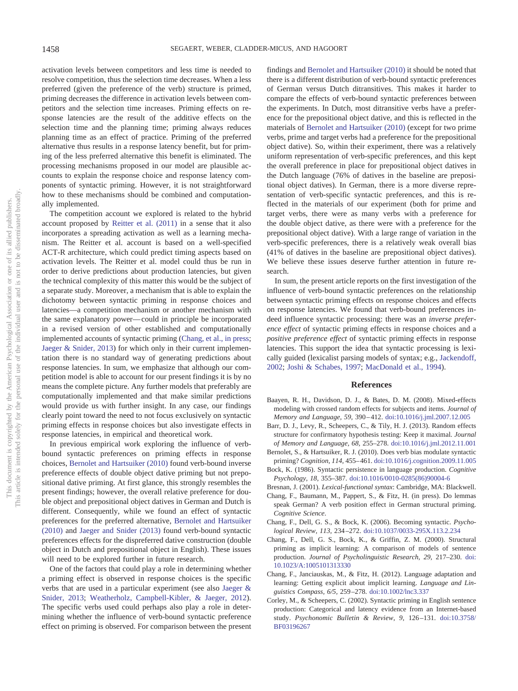activation levels between competitors and less time is needed to resolve competition, thus the selection time decreases. When a less preferred (given the preference of the verb) structure is primed, priming decreases the difference in activation levels between competitors and the selection time increases. Priming effects on response latencies are the result of the additive effects on the selection time and the planning time; priming always reduces planning time as an effect of practice. Priming of the preferred alternative thus results in a response latency benefit, but for priming of the less preferred alternative this benefit is eliminated. The processing mechanisms proposed in our model are plausible accounts to explain the response choice and response latency components of syntactic priming. However, it is not straightforward how to these mechanisms should be combined and computationally implemented.

The competition account we explored is related to the hybrid account proposed by [Reitter et al. \(2011\)](#page-11-13) in a sense that it also incorporates a spreading activation as well as a learning mechanism. The Reitter et al. account is based on a well-specified ACT-R architecture, which could predict timing aspects based on activation levels. The Reitter et al. model could thus be run in order to derive predictions about production latencies, but given the technical complexity of this matter this would be the subject of a separate study. Moreover, a mechanism that is able to explain the dichotomy between syntactic priming in response choices and latencies—a competition mechanism or another mechanism with the same explanatory power— could in principle be incorporated in a revised version of other established and computationally implemented accounts of syntactic priming [\(Chang, et al., in press;](#page-10-9) [Jaeger & Snider, 2013\)](#page-11-12) for which only in their current implementation there is no standard way of generating predictions about response latencies. In sum, we emphasize that although our competition model is able to account for our present findings it is by no means the complete picture. Any further models that preferably are computationally implemented and that make similar predictions would provide us with further insight. In any case, our findings clearly point toward the need to not focus exclusively on syntactic priming effects in response choices but also investigate effects in response latencies, in empirical and theoretical work.

In previous empirical work exploring the influence of verbbound syntactic preferences on priming effects in response choices, [Bernolet and Hartsuiker \(2010\)](#page-10-2) found verb-bound inverse preference effects of double object dative priming but not prepositional dative priming. At first glance, this strongly resembles the present findings; however, the overall relative preference for double object and prepositional object datives in German and Dutch is different. Consequently, while we found an effect of syntactic preferences for the preferred alternative, [Bernolet and Hartsuiker](#page-10-2) [\(2010\)](#page-10-2) and [Jaeger and Snider \(2013\)](#page-11-12) found verb-bound syntactic preferences effects for the dispreferred dative construction (double object in Dutch and prepositional object in English). These issues will need to be explored further in future research.

One of the factors that could play a role in determining whether a priming effect is observed in response choices is the specific verbs that are used in a particular experiment (see also [Jaeger &](#page-11-12) [Snider, 2013;](#page-11-12) [Weatherholz, Campbell-Kibler, & Jaeger, 2012\)](#page-11-25). The specific verbs used could perhaps also play a role in determining whether the influence of verb-bound syntactic preference effect on priming is observed. For comparison between the present

findings and [Bernolet and Hartsuiker \(2010\)](#page-10-2) it should be noted that there is a different distribution of verb-bound syntactic preferences of German versus Dutch ditransitives. This makes it harder to compare the effects of verb-bound syntactic preferences between the experiments. In Dutch, most ditransitive verbs have a preference for the prepositional object dative, and this is reflected in the materials of [Bernolet and Hartsuiker \(2010\)](#page-10-2) (except for two prime verbs, prime and target verbs had a preference for the prepositional object dative). So, within their experiment, there was a relatively uniform representation of verb-specific preferences, and this kept the overall preference in place for prepositional object datives in the Dutch language (76% of datives in the baseline are prepositional object datives). In German, there is a more diverse representation of verb-specific syntactic preferences, and this is reflected in the materials of our experiment (both for prime and target verbs, there were as many verbs with a preference for the double object dative, as there were with a preference for the prepositional object dative). With a large range of variation in the verb-specific preferences, there is a relatively weak overall bias (41% of datives in the baseline are prepositional object datives). We believe these issues deserve further attention in future research.

In sum, the present article reports on the first investigation of the influence of verb-bound syntactic preferences on the relationship between syntactic priming effects on response choices and effects on response latencies. We found that verb-bound preferences indeed influence syntactic processing: there was an *inverse preference effect* of syntactic priming effects in response choices and a *positive preference effect* of syntactic priming effects in response latencies. This support the idea that syntactic processing is lexically guided (lexicalist parsing models of syntax; e.g., [Jackendoff,](#page-11-1) [2002;](#page-11-1) [Joshi & Schabes, 1997;](#page-11-2) [MacDonald et al., 1994\)](#page-11-3).

### **References**

- <span id="page-10-8"></span>Baayen, R. H., Davidson, D. J., & Bates, D. M. (2008). Mixed-effects modeling with crossed random effects for subjects and items. *Journal of Memory and Language, 59,* 390 – 412. [doi:10.1016/j.jml.2007.12.005](http://dx.doi.org/10.1016/j.jml.2007.12.005)
- <span id="page-10-7"></span>Barr, D. J., Levy, R., Scheepers, C., & Tily, H. J. (2013). Random effects structure for confirmatory hypothesis testing: Keep it maximal. *Journal of Memory and Language, 68,* 255–278. [doi:10.1016/j.jml.2012.11.001](http://dx.doi.org/10.1016/j.jml.2012.11.001)
- <span id="page-10-2"></span>Bernolet, S., & Hartsuiker, R. J. (2010). Does verb bias modulate syntactic priming? *Cognition, 114,* 455– 461. [doi:10.1016/j.cognition.2009.11.005](http://dx.doi.org/10.1016/j.cognition.2009.11.005)
- <span id="page-10-1"></span>Bock, K. (1986). Syntactic persistence in language production. *Cognitive Psychology, 18,* 355–387. [doi:10.1016/0010-0285\(86\)90004-6](http://dx.doi.org/10.1016/0010-0285%2886%2990004-6)
- <span id="page-10-0"></span>Bresnan, J. (2001). *Lexical-functional syntax*: Cambridge, MA: Blackwell.
- <span id="page-10-9"></span>Chang, F., Baumann, M., Pappert, S., & Fitz, H. (in press). Do lemmas speak German? A verb position effect in German structural priming. *Cognitive Science*.
- <span id="page-10-3"></span>Chang, F., Dell, G. S., & Bock, K. (2006). Becoming syntactic. *Psychological Review, 113,* 234 –272. [doi:10.1037/0033-295X.113.2.234](http://dx.doi.org/10.1037/0033-295X.113.2.234)
- <span id="page-10-4"></span>Chang, F., Dell, G. S., Bock, K., & Griffin, Z. M. (2000). Structural priming as implicit learning: A comparison of models of sentence production. *Journal of Psycholinguistic Research, 29,* 217–230. [doi:](http://dx.doi.org/10.1023/A:1005101313330) [10.1023/A:1005101313330](http://dx.doi.org/10.1023/A:1005101313330)
- <span id="page-10-5"></span>Chang, F., Janciauskas, M., & Fitz, H. (2012). Language adaptation and learning: Getting explicit about implicit learning. *Language and Linguistics Compass, 6/5,* 259 –278. [doi:10.1002/lnc3.337](http://dx.doi.org/10.1002/lnc3.337)
- <span id="page-10-6"></span>Corley, M., & Scheepers, C. (2002). Syntactic priming in English sentence production: Categorical and latency evidence from an Internet-based study. *Psychonomic Bulletin & Review, 9,* 126 –131. [doi:10.3758/](http://dx.doi.org/10.3758/BF03196267) [BF03196267](http://dx.doi.org/10.3758/BF03196267)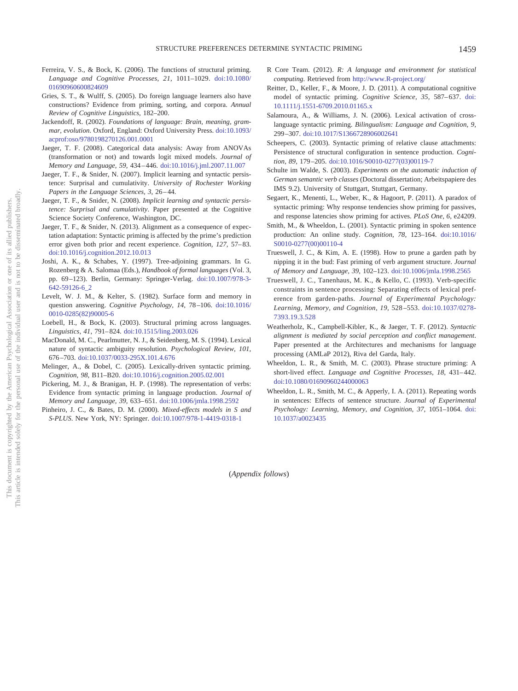- <span id="page-11-8"></span>Ferreira, V. S., & Bock, K. (2006). The functions of structural priming. *Language and Cognitive Processes, 21,* 1011–1029. [doi:10.1080/](http://dx.doi.org/10.1080/01690960600824609) [01690960600824609](http://dx.doi.org/10.1080/01690960600824609)
- <span id="page-11-20"></span>Gries, S. T., & Wulff, S. (2005). Do foreign language learners also have constructions? Evidence from priming, sorting, and corpora. *Annual Review of Cognitive Linguistics,* 182–200.
- <span id="page-11-1"></span>Jackendoff, R. (2002). *Foundations of language: Brain, meaning, grammar, evolution*. Oxford, England: Oxford University Press. [doi:10.1093/](http://dx.doi.org/10.1093/acprof:oso/9780198270126.001.0001) [acprof:oso/9780198270126.001.0001](http://dx.doi.org/10.1093/acprof:oso/9780198270126.001.0001)
- <span id="page-11-21"></span>Jaeger, T. F. (2008). Categorical data analysis: Away from ANOVAs (transformation or not) and towards logit mixed models. *Journal of Memory and Language, 59,* 434 – 446. [doi:10.1016/j.jml.2007.11.007](http://dx.doi.org/10.1016/j.jml.2007.11.007)
- <span id="page-11-10"></span>Jaeger, T. F., & Snider, N. (2007). Implicit learning and syntactic persistence: Surprisal and cumulativity. *University of Rochester Working Papers in the Language Sciences, 3,* 26 – 44.
- <span id="page-11-11"></span>Jaeger, T. F., & Snider, N. (2008). *Implicit learning and syntactic persistence: Surprisal and cumulativity*. Paper presented at the Cognitive Science Society Conference, Washington, DC.
- <span id="page-11-12"></span>Jaeger, T. F., & Snider, N. (2013). Alignment as a consequence of expectation adaptation: Syntactic priming is affected by the prime's prediction error given both prior and recent experience. *Cognition, 127, 57*-83. [doi:10.1016/j.cognition.2012.10.013](http://dx.doi.org/10.1016/j.cognition.2012.10.013)
- <span id="page-11-2"></span>Joshi, A. K., & Schabes, Y. (1997). Tree-adjoining grammars. In G. Rozenberg & A. Salomaa (Eds.), *Handbook of formal languages* (Vol. 3, pp. 69 –123). Berlin, Germany: Springer-Verlag. [doi:10.1007/978-3-](http://dx.doi.org/10.1007/978-3-642-59126-6_2) [642-59126-6\\_2](http://dx.doi.org/10.1007/978-3-642-59126-6_2)
- <span id="page-11-19"></span>Levelt, W. J. M., & Kelter, S. (1982). Surface form and memory in question answering. *Cognitive Psychology, 14,* 78 –106. [doi:10.1016/](http://dx.doi.org/10.1016/0010-0285%2882%2990005-6) [0010-0285\(82\)90005-6](http://dx.doi.org/10.1016/0010-0285%2882%2990005-6)
- <span id="page-11-24"></span>Loebell, H., & Bock, K. (2003). Structural priming across languages. *Linguistics, 41,* 791– 824. [doi:10.1515/ling.2003.026](http://dx.doi.org/10.1515/ling.2003.026)
- <span id="page-11-3"></span>MacDonald, M. C., Pearlmutter, N. J., & Seidenberg, M. S. (1994). Lexical nature of syntactic ambiguity resolution. *Psychological Review, 101,* 676 –703. [doi:10.1037/0033-295X.101.4.676](http://dx.doi.org/10.1037/0033-295X.101.4.676)
- <span id="page-11-4"></span>Melinger, A., & Dobel, C. (2005). Lexically-driven syntactic priming. *Cognition, 98,* B11–B20. [doi:10.1016/j.cognition.2005.02.001](http://dx.doi.org/10.1016/j.cognition.2005.02.001)
- <span id="page-11-14"></span>Pickering, M. J., & Branigan, H. P. (1998). The representation of verbs: Evidence from syntactic priming in language production. *Journal of Memory and Language, 39,* 633– 651. [doi:10.1006/jmla.1998.2592](http://dx.doi.org/10.1006/jmla.1998.2592)
- <span id="page-11-22"></span>Pinheiro, J. C., & Bates, D. M. (2000). *Mixed-effects models in S and S-PLUS*. New York, NY: Springer. [doi:10.1007/978-1-4419-0318-1](http://dx.doi.org/10.1007/978-1-4419-0318-1)
- <span id="page-11-23"></span>R Core Team. (2012). *R: A language and environment for statistical computing*. Retrieved from <http://www.R-project.org/>
- <span id="page-11-13"></span>Reitter, D., Keller, F., & Moore, J. D. (2011). A computational cognitive model of syntactic priming. *Cognitive Science*, 35, 587–637. [doi:](http://dx.doi.org/10.1111/j.1551-6709.2010.01165.x) [10.1111/j.1551-6709.2010.01165.x](http://dx.doi.org/10.1111/j.1551-6709.2010.01165.x)
- <span id="page-11-7"></span>Salamoura, A., & Williams, J. N. (2006). Lexical activation of crosslanguage syntactic priming. *Bilingualism: Language and Cognition, 9,* 299 –307. [doi:10.1017/S1366728906002641](http://dx.doi.org/10.1017/S1366728906002641)
- <span id="page-11-9"></span>Scheepers, C. (2003). Syntactic priming of relative clause attachments: Persistence of structural configuration in sentence production. *Cognition, 89,* 179 –205. [doi:10.1016/S0010-0277\(03\)00119-7](http://dx.doi.org/10.1016/S0010-0277%2803%2900119-7)
- <span id="page-11-0"></span>Schulte im Walde, S. (2003). *Experiments on the automatic induction of German semantic verb classes* (Doctoral dissertation; Arbeitspapiere des IMS 9.2). University of Stuttgart, Stuttgart, Germany.
- <span id="page-11-15"></span>Segaert, K., Menenti, L., Weber, K., & Hagoort, P. (2011). A paradox of syntactic priming: Why response tendencies show priming for passives, and response latencies show priming for actives. *PLoS One, 6,* e24209.
- <span id="page-11-16"></span>Smith, M., & Wheeldon, L. (2001). Syntactic priming in spoken sentence production: An online study. *Cognition, 78,* 123–164. [doi:10.1016/](http://dx.doi.org/10.1016/S0010-0277%2800%2900110-4) [S0010-0277\(00\)00110-4](http://dx.doi.org/10.1016/S0010-0277%2800%2900110-4)
- <span id="page-11-5"></span>Trueswell, J. C., & Kim, A. E. (1998). How to prune a garden path by nipping it in the bud: Fast priming of verb argument structure. *Journal of Memory and Language, 39,* 102–123. [doi:10.1006/jmla.1998.2565](http://dx.doi.org/10.1006/jmla.1998.2565)
- <span id="page-11-6"></span>Trueswell, J. C., Tanenhaus, M. K., & Kello, C. (1993). Verb-specific constraints in sentence processing: Separating effects of lexical preference from garden-paths. *Journal of Experimental Psychology: Learning, Memory, and Cognition, 19,* 528 –553. [doi:10.1037/0278-](http://dx.doi.org/10.1037/0278-7393.19.3.528) [7393.19.3.528](http://dx.doi.org/10.1037/0278-7393.19.3.528)
- <span id="page-11-25"></span>Weatherholz, K., Campbell-Kibler, K., & Jaeger, T. F. (2012). *Syntactic alignment is mediated by social perception and conflict management*. Paper presented at the Architectures and mechanisms for language processing (AMLaP 2012), Riva del Garda, Italy.
- <span id="page-11-17"></span>Wheeldon, L. R., & Smith, M. C. (2003). Phrase structure priming: A short-lived effect. *Language and Cognitive Processes*, 18, 431-442. [doi:10.1080/01690960244000063](http://dx.doi.org/10.1080/01690960244000063)
- <span id="page-11-18"></span>Wheeldon, L. R., Smith, M. C., & Apperly, I. A. (2011). Repeating words in sentences: Effects of sentence structure. *Journal of Experimental Psychology: Learning, Memory, and Cognition, 37,* 1051–1064. [doi:](http://dx.doi.org/10.1037/a0023435) [10.1037/a0023435](http://dx.doi.org/10.1037/a0023435)

(*Appendix follows*)